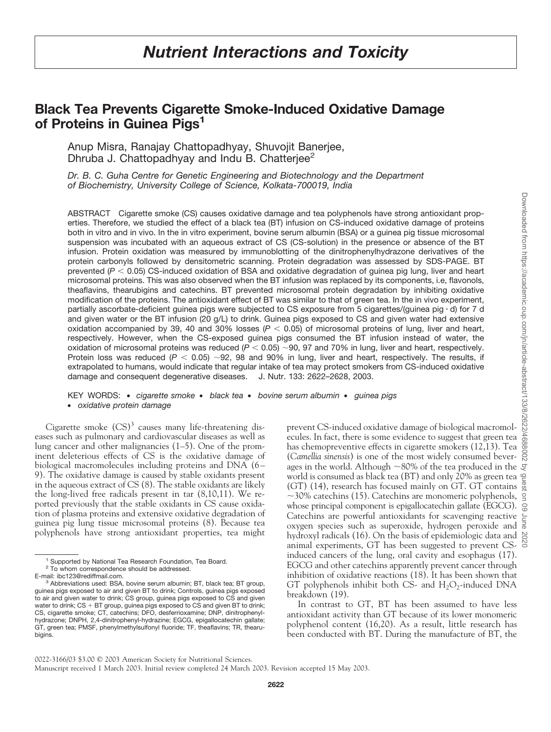# **Black Tea Prevents Cigarette Smoke-Induced Oxidative Damage of Proteins in Guinea Pigs1**

Anup Misra, Ranajay Chattopadhyay, Shuvojit Banerjee, Dhruba J. Chattopadhyay and Indu B. Chatterjee<sup>2</sup>

*Dr. B. C. Guha Centre for Genetic Engineering and Biotechnology and the Department of Biochemistry, University College of Science, Kolkata-700019, India*

ABSTRACT Cigarette smoke (CS) causes oxidative damage and tea polyphenols have strong antioxidant properties. Therefore, we studied the effect of a black tea (BT) infusion on CS-induced oxidative damage of proteins both in vitro and in vivo. In the in vitro experiment, bovine serum albumin (BSA) or a guinea pig tissue microsomal suspension was incubated with an aqueous extract of CS (CS-solution) in the presence or absence of the BT infusion. Protein oxidation was measured by immunoblotting of the dinitrophenylhydrazone derivatives of the protein carbonyls followed by densitometric scanning. Protein degradation was assessed by SDS-PAGE. BT prevented (*P* < 0.05) CS-induced oxidation of BSA and oxidative degradation of guinea pig lung, liver and heart microsomal proteins. This was also observed when the BT infusion was replaced by its components, i.e, flavonols, theaflavins, thearubigins and catechins. BT prevented microsomal protein degradation by inhibiting oxidative modification of the proteins. The antioxidant effect of BT was similar to that of green tea. In the in vivo experiment, partially ascorbate-deficient guinea pigs were subjected to CS exposure from 5 cigarettes/(guinea pig · d) for 7 d and given water or the BT infusion (20 g/L) to drink. Guinea pigs exposed to CS and given water had extensive oxidation accompanied by 39, 40 and 30% losses  $(P < 0.05)$  of microsomal proteins of lung, liver and heart, respectively. However, when the CS-exposed guinea pigs consumed the BT infusion instead of water, the oxidation of microsomal proteins was reduced  $(P < 0.05)$  ~90, 97 and 70% in lung, liver and heart, respectively. 90, 97 and 70% in lung, liver and heart, respectively. Protein loss was reduced ( $P < 0.05$ )  $\sim$ 92, 98 and 90% in lung, liver and heart, respectively. The results, if extrapolated to humans, would indicate that regular intake of tea may protect smokers from CS-induced oxidative damage and consequent degenerative diseases. J. Nutr. 133: 2622–2628, 2003.

## KEY WORDS: ● *cigarette smoke* ● *black tea* ● *bovine serum albumin* ● *guinea pigs* ● *oxidative protein damage*

Cigarette smoke  $(CS)^3$  causes many life-threatening diseases such as pulmonary and cardiovascular diseases as well as lung cancer and other malignancies (1–5). One of the prominent deleterious effects of CS is the oxidative damage of biological macromolecules including proteins and DNA (6– 9). The oxidative damage is caused by stable oxidants present in the aqueous extract of CS (8). The stable oxidants are likely the long-lived free radicals present in tar (8,10,11). We reported previously that the stable oxidants in CS cause oxidation of plasma proteins and extensive oxidative degradation of guinea pig lung tissue microsomal proteins (8). Because tea polyphenols have strong antioxidant properties, tea might

prevent CS-induced oxidative damage of biological macromolecules. In fact, there is some evidence to suggest that green tea has chemopreventive effects in cigarette smokers (12,13). Tea (*Camellia sinensis*) is one of the most widely consumed beverages in the world. Although  ${\sim}80\%$  of the tea produced in the world is consumed as black tea (BT) and only 20% as green tea  $\triangle$ (GT) (14), research has focused mainly on GT. GT contains  $\frac{1}{\omega}$  $\sim$ 30% catechins (15). Catechins are monomeric polyphenols, whose principal component is epigallocatechin gallate (EGCG).  $\circledcirc$ Catechins are powerful antioxidants for scavenging reactive oxygen species such as superoxide, hydrogen peroxide and hydroxyl radicals (16). On the basis of epidemiologic data and  $\mathfrak S$ animal experiments, GT has been suggested to prevent CS- $\frac{8}{9}$ induced cancers of the lung, oral cavity and esophagus (17). EGCG and other catechins apparently prevent cancer through inhibition of oxidative reactions (18). It has been shown that GT polyphenols inhibit both CS- and  $H_2O_2$ -induced DNA breakdown (19).

In contrast to GT, BT has been assumed to have less antioxidant activity than GT because of its lower monomeric polyphenol content (16,20). As a result, little research has been conducted with BT. During the manufacture of BT, the

0022-3166/03 \$3.00 © 2003 American Society for Nutritional Sciences. Manuscript received 1 March 2003. Initial review completed 24 March 2003. Revision accepted 15 May 2003.

<sup>&</sup>lt;sup>1</sup> Supported by National Tea Research Foundation, Tea Board.

<sup>&</sup>lt;sup>2</sup> To whom correspondence should be addressed.<br>E-mail: ibc123@rediffmail.com.

<sup>&</sup>lt;sup>3</sup> Abbreviations used: BSA, bovine serum albumin; BT, black tea; BT group, guinea pigs exposed to air and given BT to drink; Controls, guinea pigs exposed to air and given water to drink; CS group, guinea pigs exposed to CS and given water to drink; CS + BT group, guinea pigs exposed to CS and given BT to drink;<br>CS, cigarette smoke; CT, catechins; DFO, desferrioxamine; DNP, dinitrophenylhydrazone; DNPH, 2,4-dinitrophenyl-hydrazine; EGCG, epigallocatechin gallate; GT, green tea; PMSF, phenylmethylsulfonyl fluoride; TF, theaflavins; TR, thearubigins.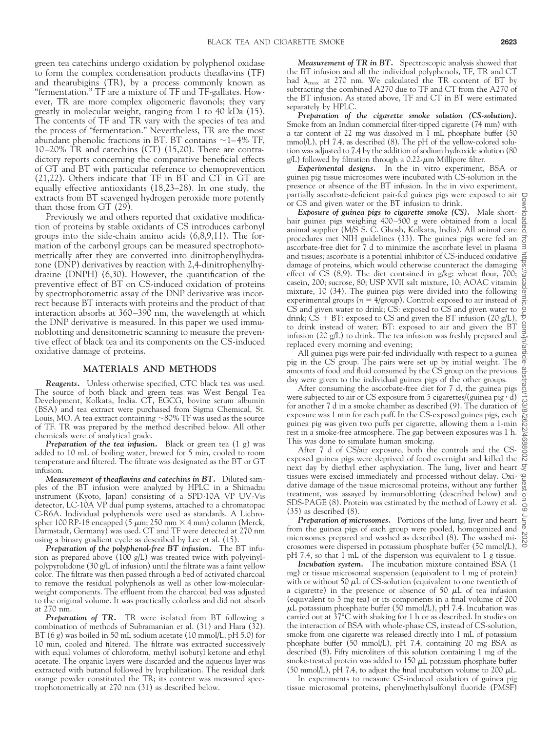green tea catechins undergo oxidation by polyphenol oxidase to form the complex condensation products theaflavins (TF) and thearubigins (TR), by a process commonly known as "fermentation." TF are a mixture of TF and TF-gallates. However, TR are more complex oligomeric flavonols; they vary greatly in molecular weight, ranging from 1 to 40 kDa (15). The contents of TF and TR vary with the species of tea and the process of "fermentation." Nevertheless, TR are the most abundant phenolic fractions in BT. BT contains  $\sim$  1–4% TF, 10–20% TR and catechins (CT) (15,20). There are contradictory reports concerning the comparative beneficial effects of GT and BT with particular reference to chemoprevention (21,22). Others indicate that TF in BT and CT in GT are equally effective antioxidants (18,23–28). In one study, the extracts from BT scavenged hydrogen peroxide more potently than those from GT (29).

Previously we and others reported that oxidative modification of proteins by stable oxidants of CS introduces carbonyl groups into the side-chain amino acids (6,8,9,11). The formation of the carbonyl groups can be measured spectrophotometrically after they are converted into dinitrophenylhydrazone (DNP) derivatives by reaction with 2,4-dinitrophenylhydrazine (DNPH) (6,30). However, the quantification of the preventive effect of BT on CS-induced oxidation of proteins by spectrophotometric assay of the DNP derivative was incorrect because BT interacts with proteins and the product of that interaction absorbs at 360–390 nm, the wavelength at which the DNP derivative is measured. In this paper we used immunoblotting and densitometric scanning to measure the preventive effect of black tea and its components on the CS-induced oxidative damage of proteins.

### **MATERIALS AND METHODS**

*Reagents.* Unless otherwise specified, CTC black tea was used. The source of both black and green teas was West Bengal Tea Development, Kolkata, India. CT, EGCG, bovine serum albumin (BSA) and tea extract were purchased from Sigma Chemical, St. Louis, MO. A tea extract containing  ${\sim}80\%$  TF was used as the source of TF. TR was prepared by the method described below. All other chemicals were of analytical grade.

**Preparation of the tea infusion.** Black or green tea (1 g) was added to 10 mL of boiling water, brewed for 5 min, cooled to room temperature and filtered. The filtrate was designated as the BT or GT infusion.

*Measurement of theaflavins and catechins in BT.* Diluted samples of the BT infusion were analyzed by HPLC in a Shimadzu instrument (Kyoto, Japan) consisting of a SPD-10A VP UV-Vis detector, LC-10A VP dual pump systems, attached to a chromatopac C-R6A. Individual polyphenols were used as standards. A Lichrospher 100 RP-18 encapped (5  $\mu$ m; 250 mm  $\times$  4 mm) column (Merck, Darmstadt, Germany) was used. CT and TF were detected at 270 nm using a binary gradient cycle as described by Lee et al. (15).

*Preparation of the polyphenol-free BT infusion.* The BT infusion as prepared above (100 g/L) was treated twice with polyvinylpolypyrolidone (30 g/L of infusion) until the filtrate was a faint yellow color. The filtrate was then passed through a bed of activated charcoal to remove the residual polyphenols as well as other low-molecularweight components. The effluent from the charcoal bed was adjusted to the original volume. It was practically colorless and did not absorb at 270 nm.

*Preparation of TR.* TR were isolated from BT following a combination of methods of Subramanian et al. (31) and Hara (32). BT (6 g) was boiled in 50 mL sodium acetate (10 mmol/L, pH 5.0) for 10 min, cooled and filtered. The filtrate was extracted successively with equal volumes of chloroform, methyl isobutyl ketone and ethyl acetate. The organic layers were discarded and the aqueous layer was extracted with butanol followed by lyophilization. The residual dark orange powder constituted the TR; its content was measured spectrophotometrically at 270 nm (31) as described below.

*Measurement of TR in BT.* Spectroscopic analysis showed that the BT infusion and all the individual polyphenols, TF, TR and CT had  $\lambda_{\text{max}}$  at 270 nm. We calculated the TR content of BT by subtracting the combined A270 due to TF and CT from the A270 of the BT infusion. As stated above, TF and CT in BT were estimated separately by HPLC.

*Preparation of the cigarette smoke solution (CS-solution).* Smoke from an Indian commercial filter-tipped cigarette (74 mm) with a tar content of 22 mg was dissolved in 1 mL phosphate buffer (50 mmol/L), pH 7.4, as described (8). The pH of the yellow-colored solution was adjusted to 7.4 by the addition of sodium hydroxide solution (80  $g/L$ ) followed by filtration through a 0.22- $\mu$ m Millipore filter.

*Experimental designs.* In the in vitro experiment, BSA or guinea pig tissue microsomes were incubated with CS-solution in the presence or absence of the BT infusion. In the in vivo experiment, partially ascorbate-deficient pair-fed guinea pigs were exposed to air or CS and given water or the BT infusion to drink.

*Exposure of guinea pigs to cigarette smoke (CS).* Male shorthair guinea pigs weighing 400–500 g were obtained from a local animal supplier (M/S S. C. Ghosh, Kolkata, India). All animal care procedures met NIH guidelines (33). The guinea pigs were fed an ascorbate-free diet for 7 d to minimize the ascorbate level in plasma and tissues; ascorbate is a potential inhibitor of CS-induced oxidative damage of proteins, which would otherwise counteract the damaging effect of CS (8,9). The diet contained in g/kg: wheat flour, 700; casein, 200; sucrose, 80; USP XVII salt mixture, 10; AOAC vitamin mixture, 10 (34). The guinea pigs were divided into the following experimental groups ( $n = 4$ /group). Control: exposed to air instead of CS and given water to drink; CS: exposed to CS and given water to drink;  $CS + BT:$  exposed to  $CS$  and given the BT infusion (20  $g/L$ ), to drink instead of water; BT: exposed to air and given the BT infusion (20 g/L) to drink. The tea infusion was freshly prepared and replaced every morning and evening;

All guinea pigs were pair-fed individually with respect to a guinea pig in the CS group. The pairs were set up by initial weight. The amounts of food and fluid consumed by the CS group on the previous day were given to the individual guinea pigs of the other groups.

After consuming the ascorbate-free diet for 7 d, the guinea pigs were subjected to air or CS exposure from 5 cigarettes/(guinea pig · d) for another 7 d in a smoke chamber as described (9). The duration of exposure was 1 min for each puff. In the CS-exposed guinea pigs, each guinea pig was given two puffs per cigarette, allowing them a 1-min rest in a smoke-free atmosphere. The gap between exposures was 1 h. This was done to simulate human smoking.

After 7 d of CS/air exposure, both the controls and the CSexposed guinea pigs were deprived of food overnight and killed the next day by diethyl ether asphyxiation. The lung, liver and heart tissues were excised immediately and processed without delay. Oxidative damage of the tissue microsomal proteins, without any further treatment, was assayed by immunoblotting (described below) and SDS-PAGE (8). Protein was estimated by the method of Lowry et al. (35) as described (8).

*Preparation of microsomes.* Portions of the lung, liver and heart from the guinea pigs of each group were pooled, homogenized and microsomes prepared and washed as described (8). The washed microsomes were dispersed in potassium phosphate buffer (50 mmol/L), pH 7.4, so that 1 mL of the dispersion was equivalent to 1 g tissue.

*Incubation system.* The incubation mixture contained BSA (1 mg) or tissue microsomal suspension (equivalent to 1 mg of protein) with or without 50  $\mu$ L of CS-solution (equivalent to one twentieth of a cigarette) in the presence or absence of 50  $\mu$ L of tea infusion (equivalent to 5 mg tea) or its components in a final volume of 200  $\mu$ L potassium phosphate buffer (50 mmol/L), pH 7.4. Incubation was carried out at 37°C with shaking for 1 h or as described. In studies on the interaction of BSA with whole-phase CS, instead of CS-solution, smoke from one cigarette was released directly into 1 mL of potassium phosphate buffer (50 mmol/L), pH 7.4, containing 20 mg BSA as described (8). Fifty microliters of this solution containing 1 mg of the smoke-treated protein was added to  $150 \mu L$  potassium phosphate buffer (50 mmol/L), pH 7.4, to adjust the final incubation volume to 200  $\mu$ L.

In experiments to measure CS-induced oxidation of guinea pig tissue microsomal proteins, phenylmethylsulfonyl fluoride (PMSF)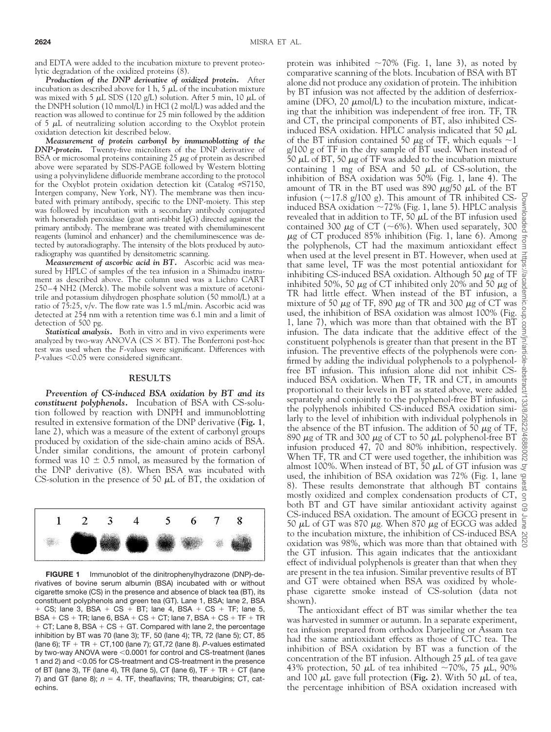and EDTA were added to the incubation mixture to prevent proteolytic degradation of the oxidized proteins (8).

*Production of the DNP derivative of oxidized protein.* After incubation as described above for 1 h, 5  $\mu$ L of the incubation mixture was mixed with 5  $\mu$ L SDS (120 g/L) solution. After 5 min, 10  $\mu$ L of the DNPH solution (10 mmol/L) in HCl (2 mol/L) was added and the reaction was allowed to continue for 25 min followed by the addition of  $5 \mu L$  of neutralizing solution according to the Oxyblot protein oxidation detection kit described below.

*Measurement of protein carbonyl by immunoblotting of the DNP-protein.* Twenty-five microliters of the DNP derivative of BSA or microsomal proteins containing  $25 \mu$ g of protein as described above were separated by SDS-PAGE followed by Western blotting using a polyvinylidene difluoride membrane according to the protocol for the Oxyblot protein oxidation detection kit (Catalog #S7150, Intergen company, New York, NY). The membrane was then incubated with primary antibody, specific to the DNP-moiety. This step was followed by incubation with a secondary antibody conjugated with horseradish peroxidase (goat anti-rabbit IgG) directed against the primary antibody. The membrane was treated with chemiluminescent reagents (luminol and enhancer) and the chemiluminescence was detected by autoradiography. The intensity of the blots produced by autoradiography was quantified by densitometric scanning.

*Measurement of ascorbic acid in BT.* Ascorbic acid was measured by HPLC of samples of the tea infusion in a Shimadzu instrument as described above. The column used was a Lichro CART 250–4 NH2 (Merck). The mobile solvent was a mixture of acetonitrile and potassium dihydrogen phosphate solution (50 mmol/L) at a ratio of 75:25, v/v. The flow rate was 1.5 mL/min. Ascorbic acid was detected at 254 nm with a retention time was 6.1 min and a limit of detection of 500 pg.

*Statistical analysis.* Both in vitro and in vivo experiments were analyzed by two-way ANOVA ( $CS \times BT$ ). The Bonferroni post-hoc test was used when the *F*-values were significant. Differences with *P*-values  $\leq 0.05$  were considered significant.

#### **RESULTS**

*Prevention of CS-induced BSA oxidation by BT and its constituent polyphenols.* Incubation of BSA with CS-solution followed by reaction with DNPH and immunoblotting resulted in extensive formation of the DNP derivative (**Fig. 1**, lane 2), which was a measure of the extent of carbonyl groups produced by oxidation of the side-chain amino acids of BSA. Under similar conditions, the amount of protein carbonyl formed was  $10 \pm 0.5$  nmol, as measured by the formation of the DNP derivative (8). When BSA was incubated with CS-solution in the presence of 50  $\mu$ L of BT, the oxidation of



**FIGURE 1** Immunoblot of the dinitrophenylhydrazone (DNP)-derivatives of bovine serum albumin (BSA) incubated with or without cigarette smoke (CS) in the presence and absence of black tea (BT), its constituent polyphenols and green tea (GT). Lane 1, BSA; lane 2, BSA  $+$  CS; lane 3, BSA  $+$  CS  $+$  BT; lane 4, BSA  $+$  CS  $+$  TF; lane 5,  $BSA + CS + TR$ ; lane 6,  $BSA + CS + CT$ ; lane 7,  $BSA + CS + TF + TR$  $+$  CT; Lane 8, BSA  $+$  CS  $+$  GT. Compared with lane 2, the percentage inhibition by BT was 70 (lane 3); TF, 50 (lane 4); TR, 72 (lane 5); CT, 85 (lane 6);  $TF + TR + CT$ , 100 (lane 7);  $GT$ , 72 (lane 8). *P*-values estimated by two-way ANOVA were  $< 0.0001$  for control and CS-treatment (lanes 1 and 2) and <0.05 for CS-treatment and CS-treatment in the presence of BT (lane 3), TF (lane 4), TR (lane 5), CT (lane 6), TF  $+$  TR  $+$  CT (lane 7) and GT (lane 8);  $n = 4$ . TF, theaflavins; TR, thearubigins; CT, catechins.

protein was inhibited  $\sim 70\%$  (Fig. 1, lane 3), as noted by comparative scanning of the blots. Incubation of BSA with BT alone did not produce any oxidation of protein. The inhibition by BT infusion was not affected by the addition of desferrioxamine (DFO,  $20 \mu \text{mol/L}$ ) to the incubation mixture, indicating that the inhibition was independent of free iron. TF, TR and CT, the principal components of BT, also inhibited CSinduced BSA oxidation. HPLC analysis indicated that 50  $\mu$ L of the BT infusion contained 50  $\mu$ g of TF, which equals  $\sim$ 1 g/100 g of TF in the dry sample of BT used. When instead of 50  $\mu$ L of BT, 50  $\mu$ g of TF was added to the incubation mixture containing 1 mg of BSA and 50  $\mu$ L of CS-solution, the inhibition of BSA oxidation was 50% (Fig. 1, lane 4). The amount of TR in the BT used was 890  $\mu$ g/50  $\mu$ L of the BT infusion ( $\sim$ 17.8 g/100 g). This amount of TR inhibited CSinduced BSA oxidation  $\sim$  72% (Fig. 1, lane 5). HPLC analysis revealed that in addition to TF, 50  $\mu$ L of the BT infusion used contained 300  $\mu$ g of CT (~6%). When used separately, 300  $\mu$ g of CT produced 85% inhibition (Fig. 1, lane 6). Among the polyphenols, CT had the maximum antioxidant effect when used at the level present in BT. However, when used at that same level, TF was the most potential antioxidant for inhibiting CS-induced BSA oxidation. Although 50  $\mu$ g of TF inhibited 50%, 50  $\mu$ g of CT inhibited only 20% and 50  $\mu$ g of TR had little effect. When instead of the BT infusion, a mixture of 50  $\mu$ g of TF, 890  $\mu$ g of TR and 300  $\mu$ g of CT was used, the inhibition of BSA oxidation was almost 100% (Fig. 1, lane 7), which was more than that obtained with the BT infusion. The data indicate that the additive effect of the constituent polyphenols is greater than that present in the BT infusion. The preventive effects of the polyphenols were confirmed by adding the individual polyphenols to a polyphenolfree BT infusion. This infusion alone did not inhibit CSinduced BSA oxidation. When TF, TR and CT, in amounts proportional to their levels in BT as stated above, were added separately and conjointly to the polyphenol-free BT infusion, the polyphenols inhibited CS-induced BSA oxidation similarly to the level of inhibition with individual polyphenols in the absence of the BT infusion. The addition of 50  $\mu$ g of TF, 890  $\mu$ g of TR and 300  $\mu$ g of CT to 50  $\mu$ L polyphenol-free BT infusion produced 47, 70 and 80% inhibition, respectively. When TF, TR and CT were used together, the inhibition was almost 100%. When instead of BT, 50  $\mu$ L of GT infusion was  $\mathcal{Q}$ used, the inhibition of BSA oxidation was 72% (Fig. 1, lane 8). These results demonstrate that although BT contains mostly oxidized and complex condensation products of CT, both BT and GT have similar antioxidant activity against  $\frac{1}{68}$ CS-induced BSA oxidation. The amount of EGCG present in 50  $\mu$ L of GT was 870  $\mu$ g. When 870  $\mu$ g of EGCG was added to the incubation mixture, the inhibition of CS-induced BSA  $\,\mathop{\triangleright}\,$ oxidation was 98%, which was more than that obtained with  $\overline{S}$ the GT infusion. This again indicates that the antioxidant effect of individual polyphenols is greater than that when they are present in the tea infusion. Similar preventive results of BT and GT were obtained when BSA was oxidized by wholephase cigarette smoke instead of CS-solution (data not shown).

The antioxidant effect of BT was similar whether the tea was harvested in summer or autumn. In a separate experiment, tea infusion prepared from orthodox Darjeeling or Assam tea had the same antioxidant effects as those of CTC tea. The inhibition of BSA oxidation by BT was a function of the concentration of the BT infusion. Although 25  $\mu$ L of tea gave 43% protection, 50  $\mu$ L of tea inhibited ~70%, 75  $\mu$ L, 90% and 100  $\mu$ L gave full protection (Fig. 2). With 50  $\mu$ L of tea, the percentage inhibition of BSA oxidation increased with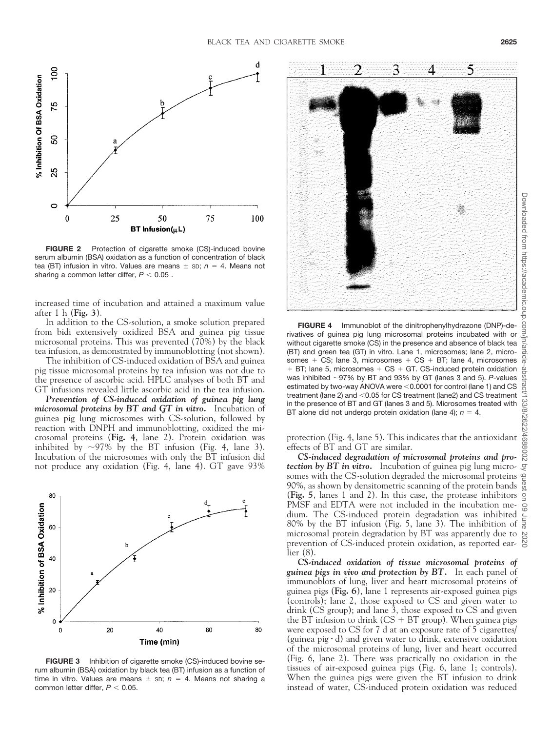

**FIGURE 2** Protection of cigarette smoke (CS)-induced bovine serum albumin (BSA) oxidation as a function of concentration of black tea (BT) infusion in vitro. Values are means  $\pm$  sp;  $n = 4$ . Means not sharing a common letter differ,  $P < 0.05$ .

increased time of incubation and attained a maximum value after1h(**Fig. 3**).

In addition to the CS-solution, a smoke solution prepared from bidi extensively oxidized BSA and guinea pig tissue microsomal proteins. This was prevented (70%) by the black tea infusion, as demonstrated by immunoblotting (not shown).

The inhibition of CS-induced oxidation of BSA and guinea pig tissue microsomal proteins by tea infusion was not due to the presence of ascorbic acid. HPLC analyses of both BT and GT infusions revealed little ascorbic acid in the tea infusion.

*Prevention of CS-induced oxidation of guinea pig lung microsomal proteins by BT and GT in vitro.* Incubation of guinea pig lung microsomes with CS-solution, followed by reaction with DNPH and immunoblotting, oxidized the microsomal proteins (**Fig. 4**, lane 2). Protein oxidation was inhibited by  $\sim$ 97% by the BT infusion (Fig. 4, lane 3). Incubation of the microsomes with only the BT infusion did not produce any oxidation (Fig. 4, lane 4). GT gave 93%



**FIGURE 3** Inhibition of cigarette smoke (CS)-induced bovine serum albumin (BSA) oxidation by black tea (BT) infusion as a function of time in vitro. Values are means  $\pm$  sp;  $n = 4$ . Means not sharing a common letter differ,  $P < 0.05$ .



**FIGURE 4** Immunoblot of the dinitrophenylhydrazone (DNP)-derivatives of guinea pig lung microsomal proteins incubated with or without cigarette smoke (CS) in the presence and absence of black tea (BT) and green tea (GT) in vitro. Lane 1, microsomes; lane 2, microsomes  $+$  CS; lane 3, microsomes  $+$  CS  $+$  BT; lane 4, microsomes  $+$  BT; lane 5, microsomes  $+$  CS  $+$  GT. CS-induced protein oxidation was inhibited -97% by BT and 93% by GT (lanes 3 and 5). *P*-values estimated by two-way ANOVA were  $< 0.0001$  for control (lane 1) and CS treatment (lane 2) and <0.05 for CS treatment (lane2) and CS treatment in the presence of BT and GT (lanes 3 and 5). Microsomes treated with BT alone did not undergo protein oxidation (lane 4);  $n = 4$ .

protection (Fig. 4, lane 5). This indicates that the antioxidant effects of BT and GT are similar.

*CS-induced degradation of microsomal proteins and protection by BT in vitro.* Incubation of guinea pig lung microsomes with the CS-solution degraded the microsomal proteins 90%, as shown by densitometric scanning of the protein bands (**Fig. 5**, lanes 1 and 2). In this case, the protease inhibitors PMSF and EDTA were not included in the incubation medium. The CS-induced protein degradation was inhibited dium. The CS-induced protein degradation was inhibited  $\frac{1}{8}$  80% by the BT infusion (Fig. 5, lane 3). The inhibition of  $\frac{5}{8}$ microsomal protein degradation by BT was apparently due to  $\approx$ prevention of CS-induced protein oxidation, as reported earlier (8).

*CS-induced oxidation of tissue microsomal proteins of guinea pigs in vivo and protection by BT.* In each panel of immunoblots of lung, liver and heart microsomal proteins of guinea pigs (**Fig. 6**), lane 1 represents air-exposed guinea pigs (controls); lane 2, those exposed to CS and given water to drink (CS group); and lane 3, those exposed to CS and given the BT infusion to drink  $(CS + BT)$  group). When guinea pigs were exposed to CS for 7 d at an exposure rate of 5 cigarettes/ (guinea pig  $\cdot$  d) and given water to drink, extensive oxidation of the microsomal proteins of lung, liver and heart occurred (Fig. 6, lane 2). There was practically no oxidation in the tissues of air-exposed guinea pigs (Fig. 6, lane 1; controls). When the guinea pigs were given the BT infusion to drink instead of water, CS-induced protein oxidation was reduced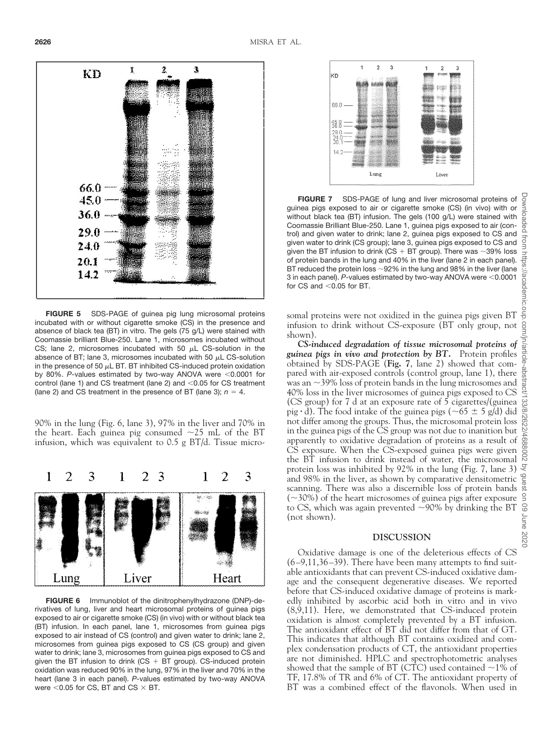

**FIGURE 5** SDS-PAGE of guinea pig lung microsomal proteins incubated with or without cigarette smoke (CS) in the presence and absence of black tea (BT) in vitro. The gels (75 g/L) were stained with Coomassie brilliant Blue-250. Lane 1, microsomes incubated without CS; lane 2, microsomes incubated with 50  $\mu$ L CS-solution in the absence of BT; lane 3, microsomes incubated with 50  $\mu$ L CS-solution in the presence of 50  $\mu$ L BT. BT inhibited CS-induced protein oxidation by 80%. P-values estimated by two-way ANOVA were <0.0001 for control (lane 1) and CS treatment (lane 2) and  $<$  0.05 for CS treatment (lane 2) and CS treatment in the presence of BT (lane 3);  $n = 4$ .

90% in the lung (Fig. 6, lane 3), 97% in the liver and 70% in the heart. Each guinea pig consumed  $\sim$ 25 mL of the BT infusion, which was equivalent to 0.5 g BT/d. Tissue micro-



**FIGURE 6** Immunoblot of the dinitrophenylhydrazone (DNP)-derivatives of lung, liver and heart microsomal proteins of guinea pigs exposed to air or cigarette smoke (CS) (in vivo) with or without black tea (BT) infusion. In each panel, lane 1, microsomes from guinea pigs exposed to air instead of CS (control) and given water to drink; lane 2, microsomes from guinea pigs exposed to CS (CS group) and given water to drink; lane 3, microsomes from guinea pigs exposed to CS and given the BT infusion to drink ( $CS + BT$  group). CS-induced protein oxidation was reduced 90% in the lung, 97% in the liver and 70% in the heart (lane 3 in each panel). *P*-values estimated by two-way ANOVA were  $<$  0.05 for CS, BT and CS  $\times$  BT.



**FIGURE 7** SDS-PAGE of lung and liver microsomal proteins of gones a pigs exposed to air or cigarette smoke (CS) (in vivo) with or should have hout black tea (BT) infusion. The gels (100 g/L) were stained with comassie Bri guinea pigs exposed to air or cigarette smoke (CS) (in vivo) with or without black tea (BT) infusion. The gels (100 g/L) were stained with Coomassie Brilliant Blue-250. Lane 1, guinea pigs exposed to air (control) and given water to drink; lane 2, guinea pigs exposed to CS and given water to drink (CS group); lane 3, guinea pigs exposed to CS and  $\frac{3}{5}$ given the BT infusion to drink (CS + BT group). There was  $\sim$ 39% loss of protein bands in the lung and 40% in the liver (lane 2 in each panel). BT reduced the protein loss  $\sim$ 92% in the lung and 98% in the liver (lane 3 in each panel). P-values estimated by two-way ANOVA were <0.0001 for CS and  $<$  0.05 for BT.

somal proteins were not oxidized in the guinea pigs given BT infusion to drink without CS-exposure (BT only group, not shown).

*CS-induced degradation of tissue microsomal proteins of guinea pigs in vivo and protection by BT.* Protein profiles obtained by SDS-PAGE (**Fig. 7**, lane 2) showed that compared with air-exposed controls (control group, lane 1), there was an  $\sim$ 39% loss of protein bands in the lung microsomes and 40% loss in the liver microsomes of guinea pigs exposed to CS (CS group) for 7 d at an exposure rate of 5 cigarettes/(guinea pig  $\cdot$  d). The food intake of the guinea pigs (~65  $\pm$  5 g/d) did not differ among the groups. Thus, the microsomal protein loss in the guinea pigs of the CS group was not due to inanition but apparently to oxidative degradation of proteins as a result of CS exposure. When the CS-exposed guinea pigs were given the BT infusion to drink instead of water, the microsomal protein loss was inhibited by 92% in the lung (Fig. 7, lane 3) and 98% in the liver, as shown by comparative densitometric scanning. There was also a discernible loss of protein bands  $(\sim]30\%)$  of the heart microsomes of guinea pigs after exposure to CS, which was again prevented  $\sim$ 90% by drinking the BT (not shown).

## **DISCUSSION**

Oxidative damage is one of the deleterious effects of CS (6–9,11,36–39). There have been many attempts to find suitable antioxidants that can prevent CS-induced oxidative damage and the consequent degenerative diseases. We reported before that CS-induced oxidative damage of proteins is markedly inhibited by ascorbic acid both in vitro and in vivo (8,9,11). Here, we demonstrated that CS-induced protein oxidation is almost completely prevented by a BT infusion. The antioxidant effect of BT did not differ from that of GT. This indicates that although BT contains oxidized and complex condensation products of CT, the antioxidant properties are not diminished. HPLC and spectrophotometric analyses showed that the sample of BT (CTC) used contained  $\sim$ 1% of TF, 17.8% of TR and 6% of CT. The antioxidant property of BT was a combined effect of the flavonols. When used in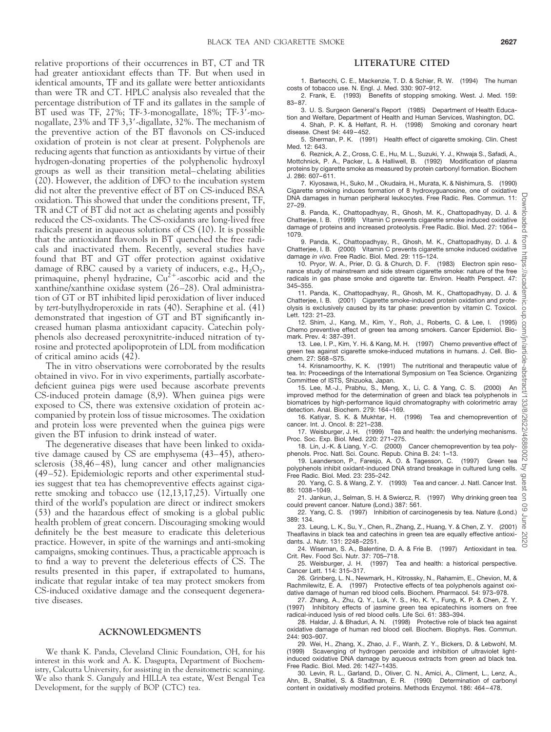relative proportions of their occurrences in BT, CT and TR had greater antioxidant effects than TF. But when used in identical amounts, TF and its gallate were better antioxidants than were TR and CT. HPLC analysis also revealed that the percentage distribution of TF and its gallates in the sample of  $BT$  used was TF, 27%; TF-3-monogallate, 18%; TF-3<sup>7</sup>-monogallate, 23% and TF 3,3-digallate, 32%. The mechanism of the preventive action of the BT flavonols on CS-induced oxidation of protein is not clear at present. Polyphenols are reducing agents that function as antioxidants by virtue of their hydrogen-donating properties of the polyphenolic hydroxyl groups as well as their transition metal–chelating abilities (20). However, the addition of DFO to the incubation system did not alter the preventive effect of BT on CS-induced BSA oxidation. This showed that under the conditions present, TF, TR and CT of BT did not act as chelating agents and possibly reduced the CS-oxidants. The CS-oxidants are long-lived free radicals present in aqueous solutions of CS (10). It is possible that the antioxidant flavonols in BT quenched the free radicals and inactivated them. Recently, several studies have found that BT and GT offer protection against oxidative damage of RBC caused by a variety of inducers, e.g.,  $H_2O_2$ , primaquine, phenyl hydrazine,  $Cu^{2+}$ -ascorbic acid and the xanthine/xanthine oxidase system (26–28). Oral administration of GT or BT inhibited lipid peroxidation of liver induced by *tert*-butylhydroperoxide in rats (40). Seraphine et al. (41) demonstrated that ingestion of GT and BT significantly increased human plasma antioxidant capacity. Catechin polyphenols also decreased peroxynitrite-induced nitration of tyrosine and protected apolipoprotein of LDL from modification of critical amino acids (42).

The in vitro observations were corroborated by the results obtained in vivo. For in vivo experiments, partially ascorbatedeficient guinea pigs were used because ascorbate prevents CS-induced protein damage (8,9). When guinea pigs were exposed to CS, there was extensive oxidation of protein accompanied by protein loss of tissue microsomes. The oxidation and protein loss were prevented when the guinea pigs were given the BT infusion to drink instead of water.

The degenerative diseases that have been linked to oxidative damage caused by CS are emphysema (43–45), atherosclerosis (38,46–48), lung cancer and other malignancies (49–52). Epidemiologic reports and other experimental studies suggest that tea has chemopreventive effects against cigarette smoking and tobacco use (12,13,17,25). Virtually one third of the world's population are direct or indirect smokers (53) and the hazardous effect of smoking is a global public health problem of great concern. Discouraging smoking would definitely be the best measure to eradicate this deleterious practice. However, in spite of the warnings and anti-smoking campaigns, smoking continues. Thus, a practicable approach is to find a way to prevent the deleterious effects of CS. The results presented in this paper, if extrapolated to humans, indicate that regular intake of tea may protect smokers from CS-induced oxidative damage and the consequent degenerative diseases.

## **ACKNOWLEDGMENTS**

We thank K. Panda, Cleveland Clinic Foundation, OH, for his interest in this work and A. K. Dasgupta, Department of Biochemistry, Calcutta University, for assisting in the densitometric scanning. We also thank S. Ganguly and HILLA tea estate, West Bengal Tea Development, for the supply of BOP (CTC) tea.

# **LITERATURE CITED**

1. Bartecchi, C. E., Mackenzie, T. D. & Schier, R. W. (1994) The human costs of tobacco use. N. Engl. J. Med. 330: 907–912.

2. Frank, E. (1993) Benefits of stopping smoking. West. J. Med. 159: 83–87.

3. U. S. Surgeon General's Report (1985) Department of Health Education and Welfare, Department of Health and Human Services, Washington, DC.

4. Shah, P. K. & Helfant, R. H. (1998) Smoking and coronary heart disease. Chest 94: 449–452.

5. Sherman, P. K. (1991) Health effect of cigarette smoking. Clin. Chest Med. 12: 643.

6. Reznick, A. Z., Cross, C. E., Hu, M. L., Suzuki, Y. J., Khwaja S., Safadi, A., Mottchnick, P. A., Packer, L. & Halliwell, B. (1992) Modification of plasma proteins by cigarette smoke as measured by protein carbonyl formation. Biochem J. 286: 607–611.

7. Kiyosawa, H., Suko, M ., Okudaira, H., Murata, K. & Nishimura, S. (1990) Cigarette smoking induces formation of 8 hydroxyguanosine, one of oxidative DNA damages in human peripheral leukocytes. Free Radic. Res. Commun. 11: 27–29.

nloaded 8. Panda, K., Chattopadhyay, R., Ghosh, M. K., Chattopadhyay, D. J. & Chatterjee, I. B. (1999) Vitamin C prevents cigarette smoke induced oxidative damage of proteins and increased proteolysis. Free Radic. Biol. Med. 27: 1064– 1079.

Irom 9. Panda, K., Chattopadhyay, R., Ghosh, M. K., Chattopadhyay, D. J. & Chatterjee, I. B. (2000) Vitamin C prevents cigarette smoke induced oxidative damage *in vivo.* Free Radic. Biol. Med. 29: 115–124.

10. Pryor, W. A., Prier, D. G. & Church, D. F. (1983) Electron spin resonance study of mainstream and side stream cigarette smoke: nature of the free radicals in gas phase smoke and cigarette tar. Environ. Health Perspect. 47: 345–355.

11. Panda, K., Chattopadhyay, R., Ghosh, M. K., Chattopadhyay, D. J. & Chatterjee, I. B. (2001) Cigarette smoke-induced protein oxidation and proteolysis is exclusively caused by its tar phase: prevention by vitamin C. Toxicol. Lett. 123: 21–23.

12. Shim, J., Kang, M., Kim, Y., Roh, J., Roberts, C. & Lee, I. (1995) Chemo preventive effect of green tea among smokers. Cancer Epidemiol. Biomark. Prev. 4: 387–391.

13. Lee, I. P., Kim, Y. Hi. & Kang, M. H. (1997) Chemo preventive effect of green tea against cigarette smoke-induced mutations in humans. J. Cell. Biochem. 27: S68–S75.

14. Krisnamoorthy, K. K. (1991) The nutritional and therapeutic value of tea. In: Proceedings of the International Symposium on Tea Science. Organizing Committee of ISTS, Shizuoka, Japan.

15. Lee, M.-J., Prabhu, S., Meng, X., Li, C. & Yang, C. S. (2000) An improved method for the determination of green and black tea polyphenols in biomatrices by high-performance liquid chromatography with colorimetric array detection. Anal. Biochem. 279: 164–169.

16. Katiyar, S. K. & Mukhtar, H. (1996) Tea and chemoprevention of cancer. Int. J. Oncol. 8: 221–238.

17. Weisburger, J. H. (1999) Tea and health: the underlying mechanisms. Proc. Soc. Exp. Biol. Med. 220: 271–275.

18. Lin, J.-K. & Liang, Y.-C. (2000) Cancer chemoprevention by tea poly-

phenols. Proc. Natl. Sci. Counc. Repub. China B. 24: 1–13. 19. Leanderson, P., Faresjo, A. O. & Tagesson, C. polyphenols inhibit oxidant-induced DNA strand breakage in cultured lung cells. Free Radic. Biol. Med. 23: 235–242.

20. Yang, C. S. & Wang, Z. Y. (1993) Tea and cancer. J. Natl. Cancer Inst. 85: 1038–1049.

21. Jankun, J., Selman, S. H. & Swiercz, R. (1997) Why drinking green tea could prevent cancer. Nature (Lond.) 387: 561.

22. Yang, C. S. (1997) Inhibition of carcinogenesis by tea. Nature (Lond.) 389: 134.

23. Leung, L. K., Su, Y., Chen, R., Zhang, Z., Huang, Y. & Chen, Z. Y. (2001) Theaflavins in black tea and catechins in green tea are equally effective antioxib<sub>2</sub> dants. J. Nutr. 131: 2248–2251.

24. Wiseman, S. A., Balentine, D. A. & Frie B. (1997) Antioxidant in tea. Crit. Rev. Food Sci. Nutr. 37: 705–718.

25. Weisburger, J. H. (1997) Tea and health: a historical perspective. Cancer Lett. 114: 315–317.

26. Grinberg, L. N., Newmark, H., Kitrossky, N., Rahamim, E., Chevion, M, & Rachmilewitz, E. A. (1997) Protective effects of tea polyphenols against oxidative damage of human red blood cells. Biochem. Pharmacol. 54: 973–978.

27. Zhang, A., Zhu, Q. Y., Luk, Y. S., Ho, K. Y., Fung, K. P. & Chen, Z. Y. (1997) Inhibitory effects of jasmine green tea epicatechins isomers on free

radical-induced lysis of red blood cells. Life Sci. 61: 383–394. 28. Haldar, J. & Bhaduri, A. N. (1998) Protective role of black tea against

oxidative damage of human red blood cell. Biochem. Biophys. Res. Commun. 244: 903–907.

29. Wei, H., Zhang, X., Zhao, J. F., Wanh, Z. Y., Bickers, D. & Lebwohl, M. (1999) Scavenging of hydrogen peroxide and inhibition of ultraviolet lightinduced oxidative DNA damage by aqueous extracts from green ad black tea. Free Radic. Biol. Med. 26: 1427–1435.

30. Levin, R. L., Garland, D., Oliver, C. N., Amici, A., Climent, L., Lenz, A., Ahn, B., Shaltiel, S. & Stadtman, E. R. (1990) Determination of carbonyl content in oxidatively modified proteins. Methods Enzymol. 186: 464–478.

Dov